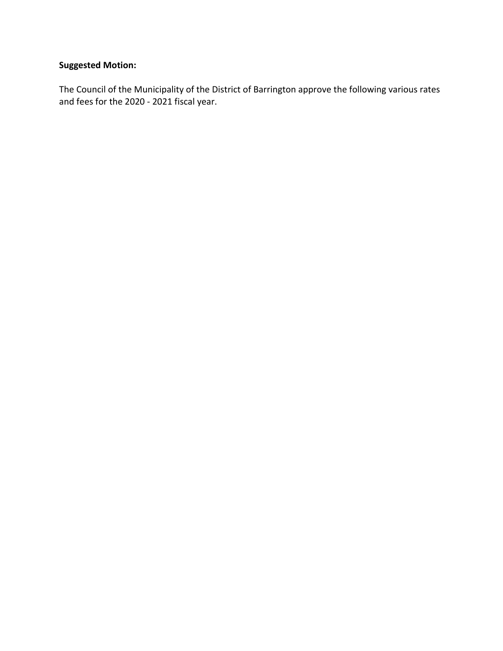## **Suggested Motion:**

The Council of the Municipality of the District of Barrington approve the following various rates and fees for the 2020 - 2021 fiscal year.